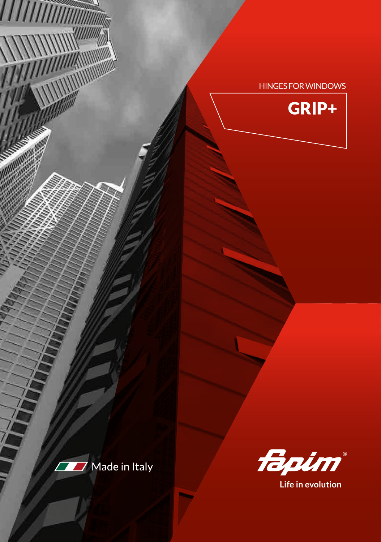## HINGES FOR WINDOWS





*HIIIIIIIIII* 

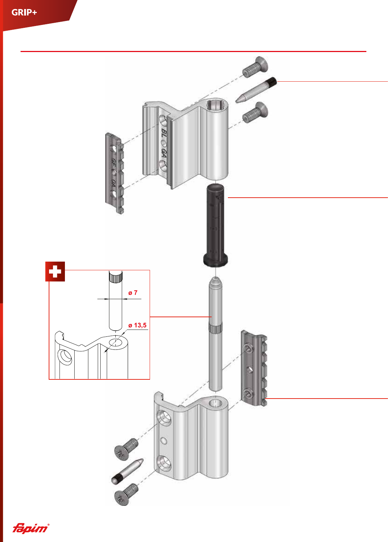

fapim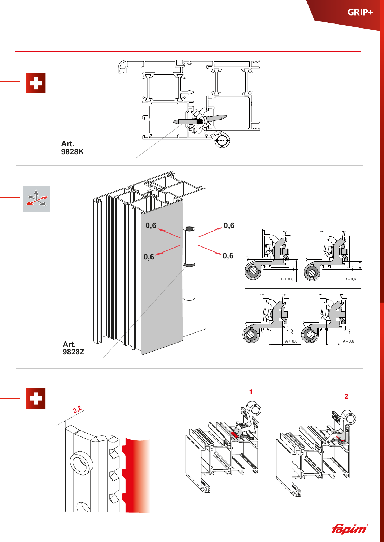



fapim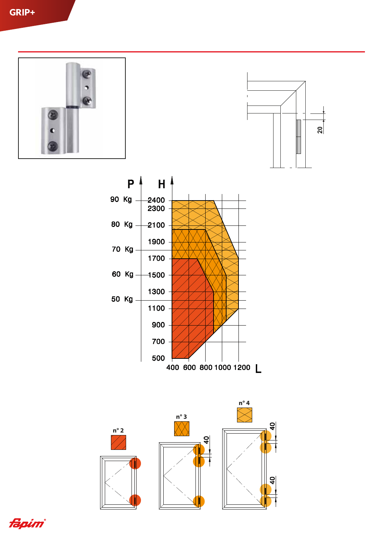







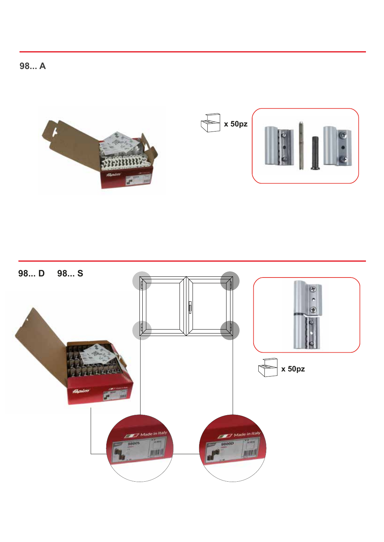98... A



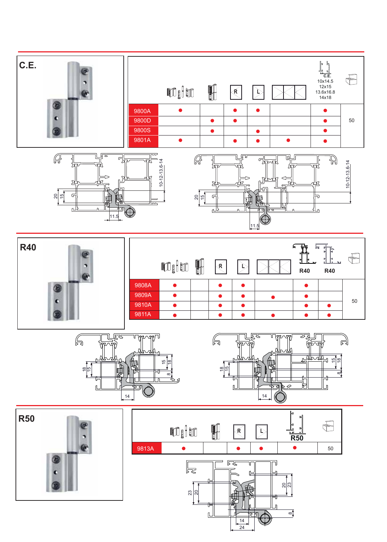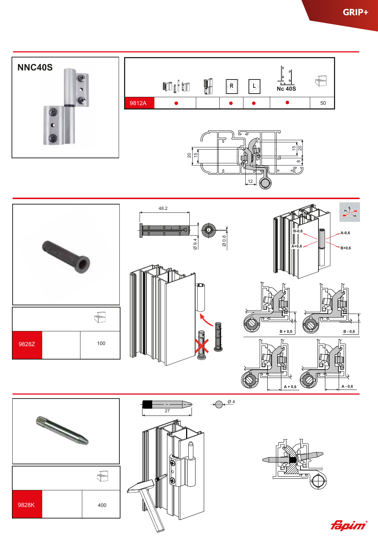

fápim